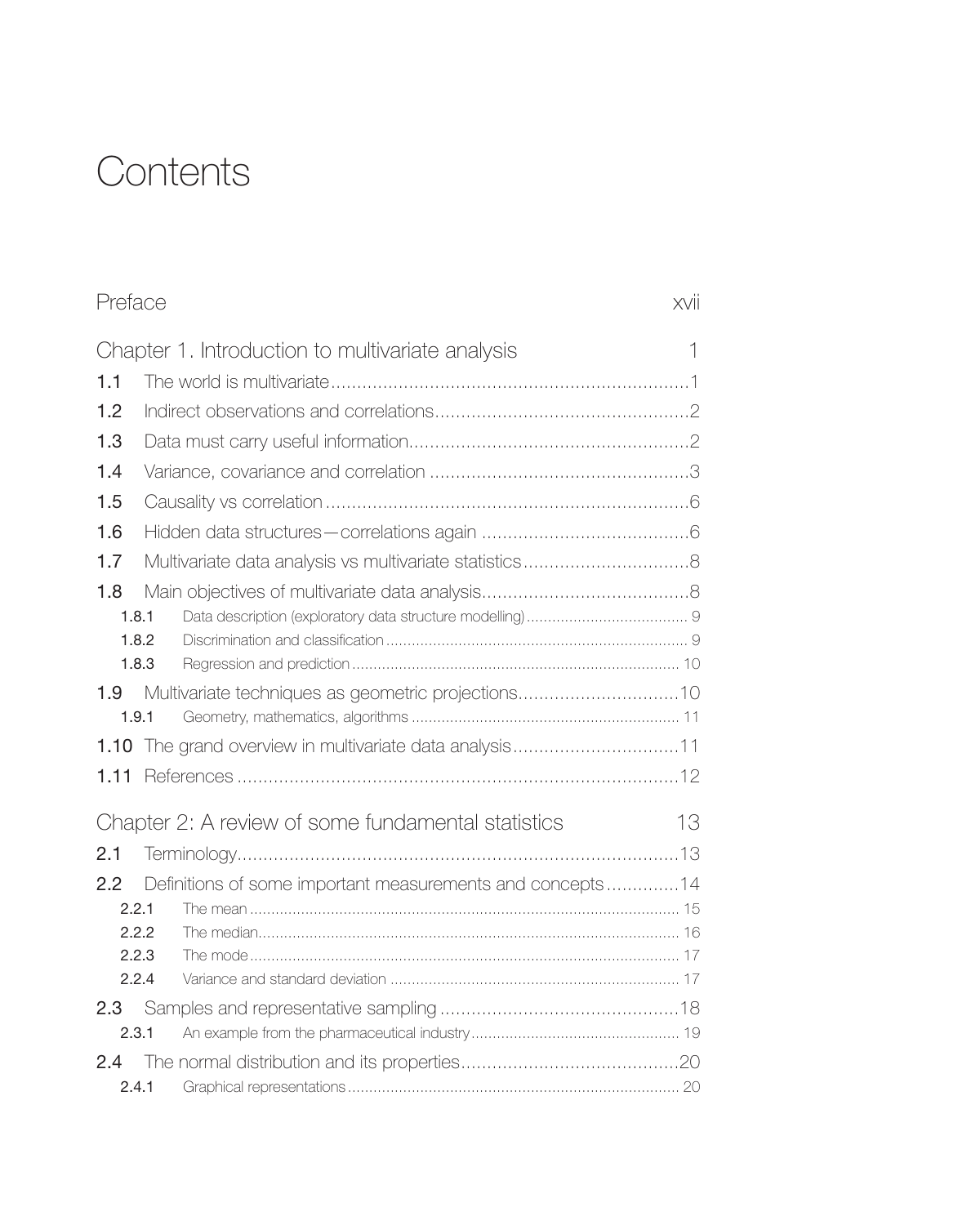## **Contents**

<span id="page-0-0"></span>

| Preface |                                                           | xvii |
|---------|-----------------------------------------------------------|------|
|         | Chapter 1. Introduction to multivariate analysis          | 1    |
| 1.1     |                                                           |      |
| 1.2     |                                                           |      |
| 1.3     |                                                           |      |
| 1.4     |                                                           |      |
| 1.5     |                                                           |      |
| 1.6     |                                                           |      |
| 1.7     |                                                           |      |
| 1.8     |                                                           |      |
|         | 1.8.1                                                     |      |
|         | 1.8.2                                                     |      |
|         | 1.8.3                                                     |      |
| 1.9     | Multivariate techniques as geometric projections10        |      |
|         | 1.9.1                                                     |      |
|         |                                                           |      |
| 1.11    |                                                           |      |
|         | Chapter 2: A review of some fundamental statistics        | 13   |
| 2.1     |                                                           |      |
| 2.2     | Definitions of some important measurements and concepts14 |      |
|         | 2.2.1                                                     |      |
|         | 2.2.2                                                     |      |
|         | 2.2.3                                                     |      |
|         | 2.2.4                                                     |      |
|         |                                                           |      |
|         | 2.3.1                                                     |      |
| 2.4     |                                                           |      |
|         | 2.4.1                                                     |      |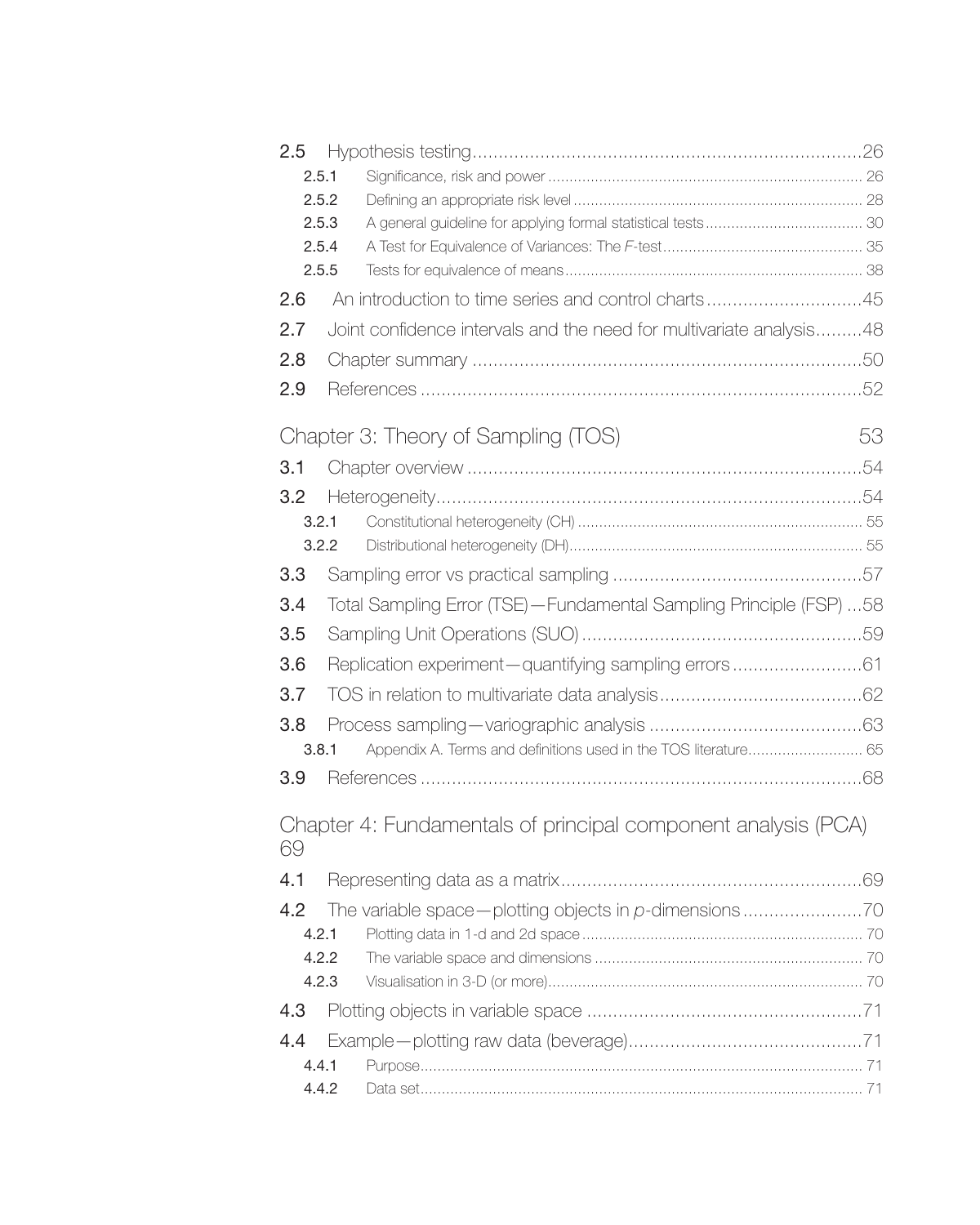<span id="page-1-0"></span>

| 2.5 |       |                                                                     |     |
|-----|-------|---------------------------------------------------------------------|-----|
|     | 2.5.1 |                                                                     |     |
|     | 2.5.2 |                                                                     |     |
|     | 2.5.3 |                                                                     |     |
|     | 2.5.4 |                                                                     |     |
|     | 2.5.5 |                                                                     |     |
| 2.6 |       | An introduction to time series and control charts45                 |     |
| 2.7 |       | Joint confidence intervals and the need for multivariate analysis48 |     |
| 2.8 |       |                                                                     |     |
| 2.9 |       |                                                                     |     |
|     |       | Chapter 3: Theory of Sampling (TOS)                                 | 53  |
| 3.1 |       |                                                                     | .54 |
| 3.2 |       |                                                                     |     |
|     | 3.2.1 |                                                                     |     |
|     | 3.2.2 |                                                                     |     |
| 3.3 |       |                                                                     |     |
| 3.4 |       | Total Sampling Error (TSE)-Fundamental Sampling Principle (FSP) 58  |     |
| 3.5 |       |                                                                     |     |
| 3.6 |       | Replication experiment-quantifying sampling errors61                |     |
| 3.7 |       |                                                                     |     |
| 3.8 |       |                                                                     |     |
|     | 3.8.1 | Appendix A. Terms and definitions used in the TOS literature 65     |     |
| 3.9 |       |                                                                     |     |
| 69  |       | Chapter 4: Fundamentals of principal component analysis (PCA)       |     |
| 4.1 |       |                                                                     |     |
| 4.2 |       |                                                                     |     |
|     | 4.2.1 |                                                                     |     |
|     | 4.2.2 |                                                                     |     |
|     | 4.2.3 |                                                                     |     |
| 4.3 |       |                                                                     |     |
| 4.4 |       |                                                                     |     |
|     | 4.4.1 |                                                                     |     |
|     | 4.4.2 |                                                                     |     |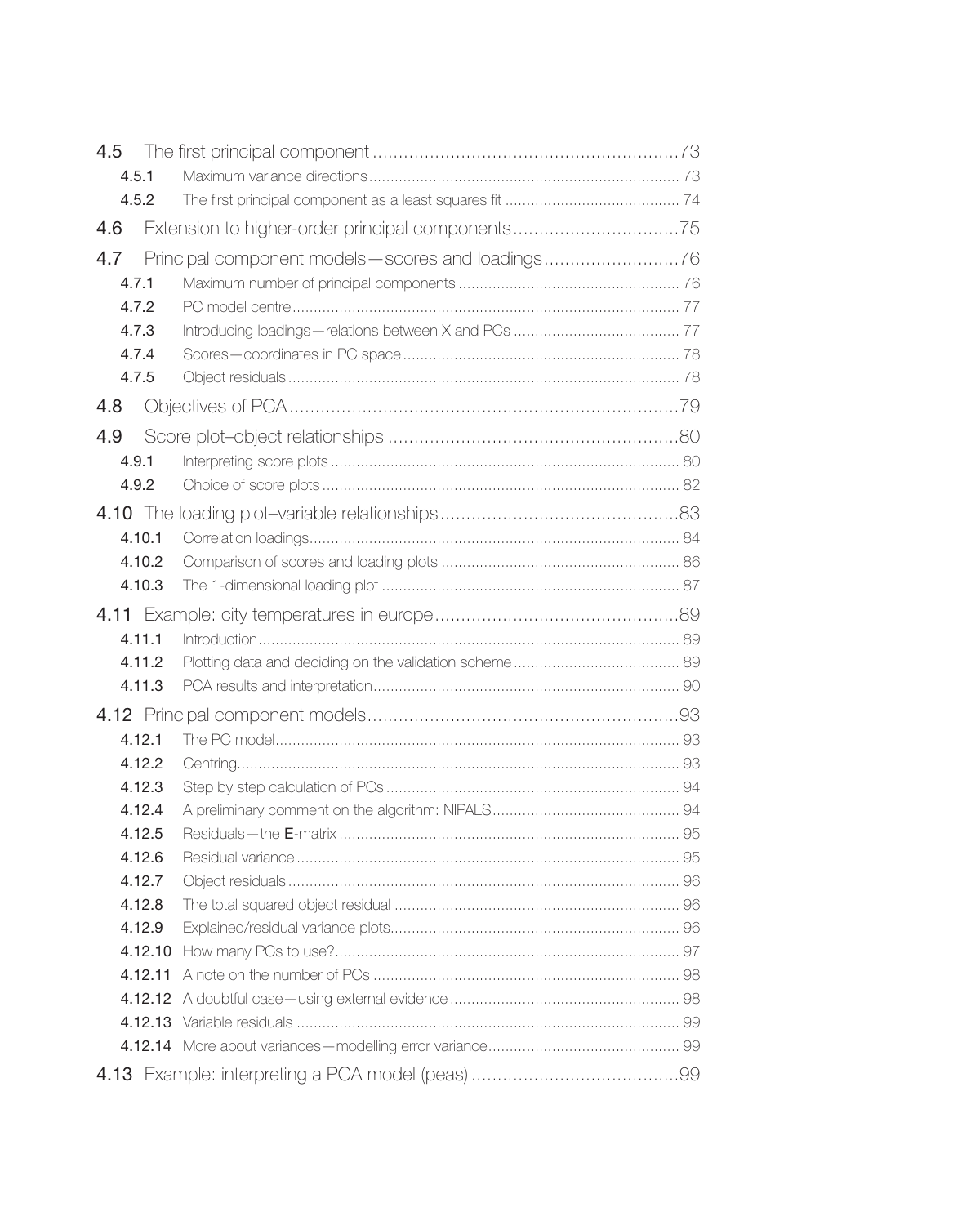<span id="page-2-0"></span>

| 4.5     |                                                  |  |
|---------|--------------------------------------------------|--|
| 4.5.1   |                                                  |  |
| 4.5.2   |                                                  |  |
| 4.6     | Extension to higher-order principal components75 |  |
| 4.7     | Principal component models-scores and loadings76 |  |
| 4.7.1   |                                                  |  |
| 4.7.2   |                                                  |  |
| 4.7.3   |                                                  |  |
| 4.7.4   |                                                  |  |
| 4.7.5   |                                                  |  |
| 4.8     |                                                  |  |
| 4.9     |                                                  |  |
| 4.9.1   |                                                  |  |
| 4.9.2   |                                                  |  |
|         |                                                  |  |
| 4.10.1  |                                                  |  |
| 4.10.2  |                                                  |  |
| 4.10.3  |                                                  |  |
|         |                                                  |  |
| 4.11.1  |                                                  |  |
| 4.11.2  |                                                  |  |
| 4.11.3  |                                                  |  |
|         |                                                  |  |
| 4.12.1  |                                                  |  |
| 4.12.2  |                                                  |  |
| 4.12.3  |                                                  |  |
| 4.12.4  |                                                  |  |
| 4.12.5  |                                                  |  |
| 4.12.6  |                                                  |  |
| 4.12.7  |                                                  |  |
| 4.12.8  |                                                  |  |
| 4.12.9  |                                                  |  |
| 4.12.10 |                                                  |  |
| 4.12.11 |                                                  |  |
|         |                                                  |  |
|         |                                                  |  |
|         |                                                  |  |
|         |                                                  |  |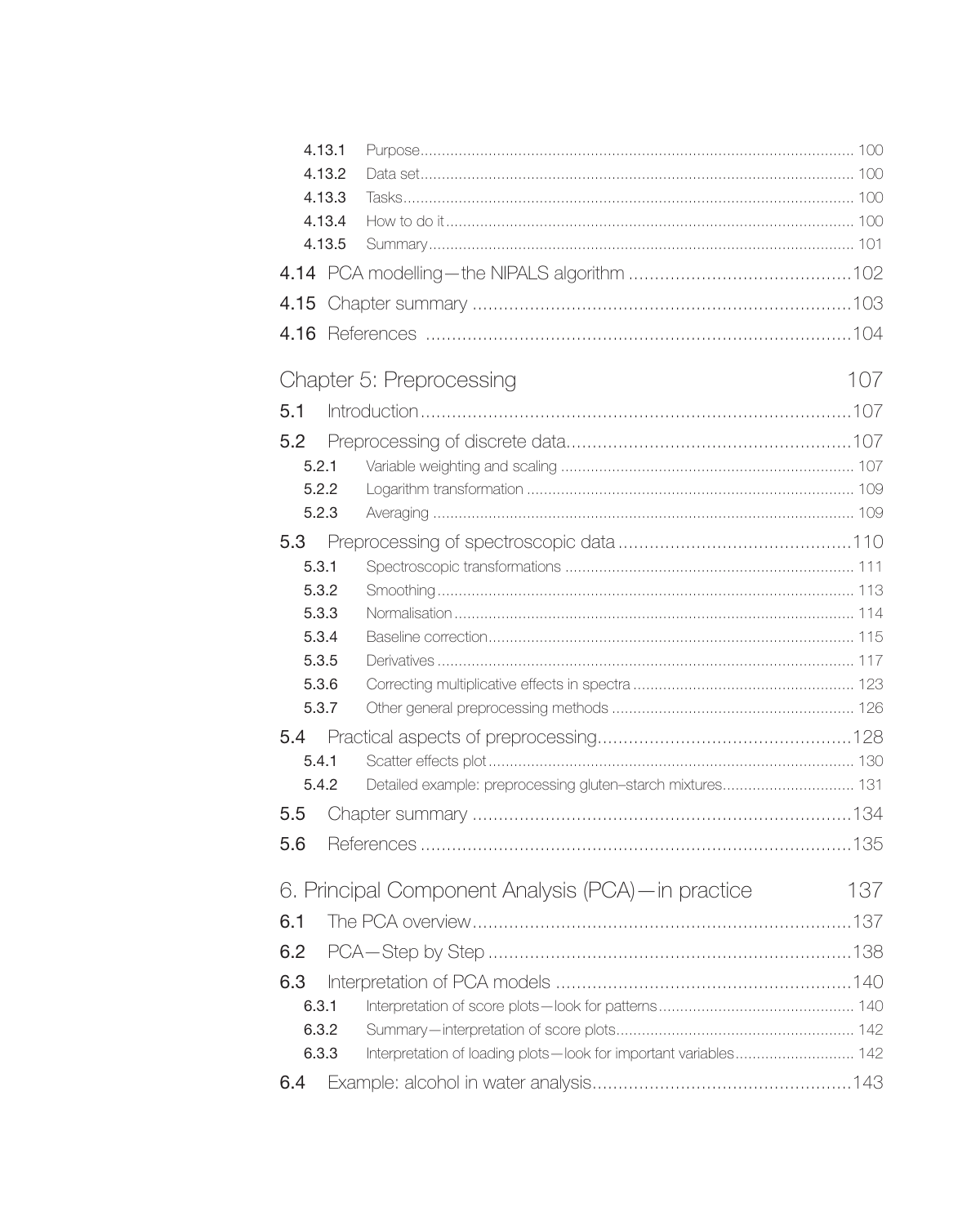<span id="page-3-0"></span>

|      | 4.13.1 |                                                                  |     |
|------|--------|------------------------------------------------------------------|-----|
|      | 4.13.2 |                                                                  |     |
|      | 4.13.3 |                                                                  |     |
|      | 4.13.4 |                                                                  |     |
|      | 4.13.5 |                                                                  |     |
|      |        |                                                                  |     |
| 4.15 |        |                                                                  |     |
| 4.16 |        |                                                                  |     |
|      |        | Chapter 5: Preprocessing                                         | 107 |
| 5.1  |        |                                                                  |     |
| 5.2  |        |                                                                  |     |
|      | 5.2.1  |                                                                  |     |
|      | 5.2.2  |                                                                  |     |
|      | 5.2.3  |                                                                  |     |
| 5.3  |        |                                                                  |     |
|      | 5.3.1  |                                                                  |     |
|      | 5.3.2  |                                                                  |     |
|      | 5.3.3  |                                                                  |     |
|      | 5.3.4  |                                                                  |     |
|      | 5.3.5  |                                                                  |     |
|      | 5.3.6  |                                                                  |     |
|      | 5.3.7  |                                                                  |     |
| 5.4  |        |                                                                  |     |
|      | 5.4.1  |                                                                  |     |
|      | 5.4.2  | Detailed example: preprocessing gluten-starch mixtures 131       |     |
| 5.5  |        |                                                                  |     |
| 5.6  |        |                                                                  |     |
|      |        | 6. Principal Component Analysis (PCA)-in practice                | 137 |
| 6.1  |        |                                                                  |     |
| 6.2  |        |                                                                  |     |
| 6.3  |        |                                                                  |     |
|      | 6.3.1  |                                                                  |     |
|      | 6.3.2  |                                                                  |     |
|      | 6.3.3  | Interpretation of loading plots-look for important variables 142 |     |
| 6.4  |        |                                                                  |     |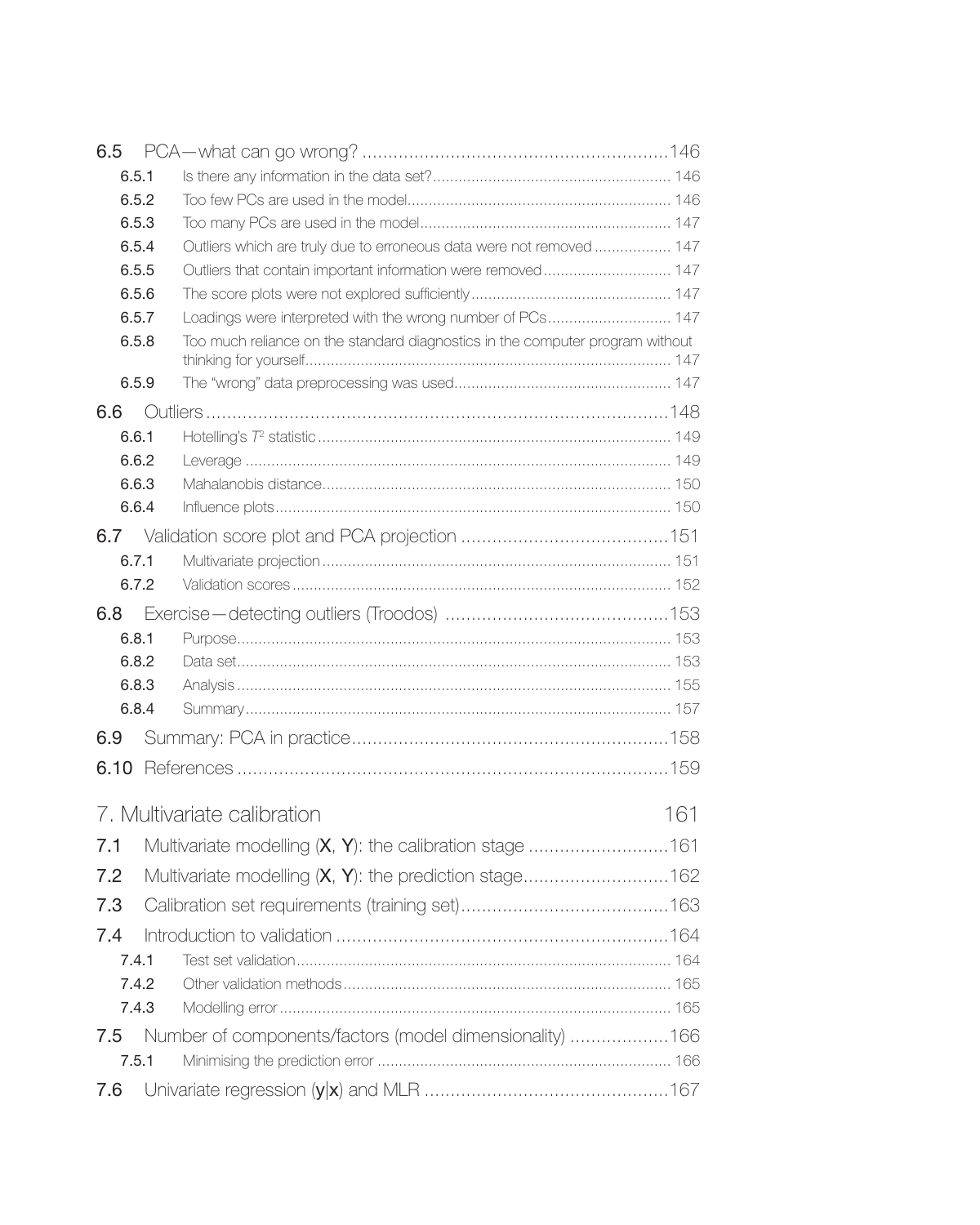<span id="page-4-0"></span>

| 6.5          |                                                                               |     |
|--------------|-------------------------------------------------------------------------------|-----|
| 6.5.1        |                                                                               |     |
| 6.5.2        |                                                                               |     |
| 6.5.3        |                                                                               |     |
| 6.5.4        | Outliers which are truly due to erroneous data were not removed  147          |     |
| 6.5.5        | Outliers that contain important information were removed 147                  |     |
| 6.5.6        |                                                                               |     |
| 6.5.7        | Loadings were interpreted with the wrong number of PCs 147                    |     |
| 6.5.8        | Too much reliance on the standard diagnostics in the computer program without |     |
| 6.5.9        |                                                                               |     |
| 6.6          |                                                                               |     |
| 6.6.1        |                                                                               |     |
| 6.6.2        |                                                                               |     |
| 6.6.3        |                                                                               |     |
| 6.6.4        |                                                                               |     |
| 6.7          |                                                                               |     |
| 6.7.1        |                                                                               |     |
| 6.7.2        |                                                                               |     |
| 6.8          |                                                                               |     |
| 6.8.1        |                                                                               |     |
| 6.8.2        |                                                                               |     |
| 6.8.3        |                                                                               |     |
| 6.8.4        |                                                                               |     |
| 6.9          |                                                                               |     |
| 6.10         |                                                                               |     |
|              | 7. Multivariate calibration                                                   | 161 |
| 7.1          |                                                                               |     |
| 7.2          |                                                                               |     |
| 7.3          |                                                                               |     |
| 7.4          |                                                                               |     |
| 7.4.1        |                                                                               |     |
| 7.4.2        |                                                                               |     |
| 7.4.3        |                                                                               |     |
|              |                                                                               |     |
| 7.5<br>7.5.1 | Number of components/factors (model dimensionality) 166                       |     |
|              |                                                                               |     |
| 7.6          |                                                                               |     |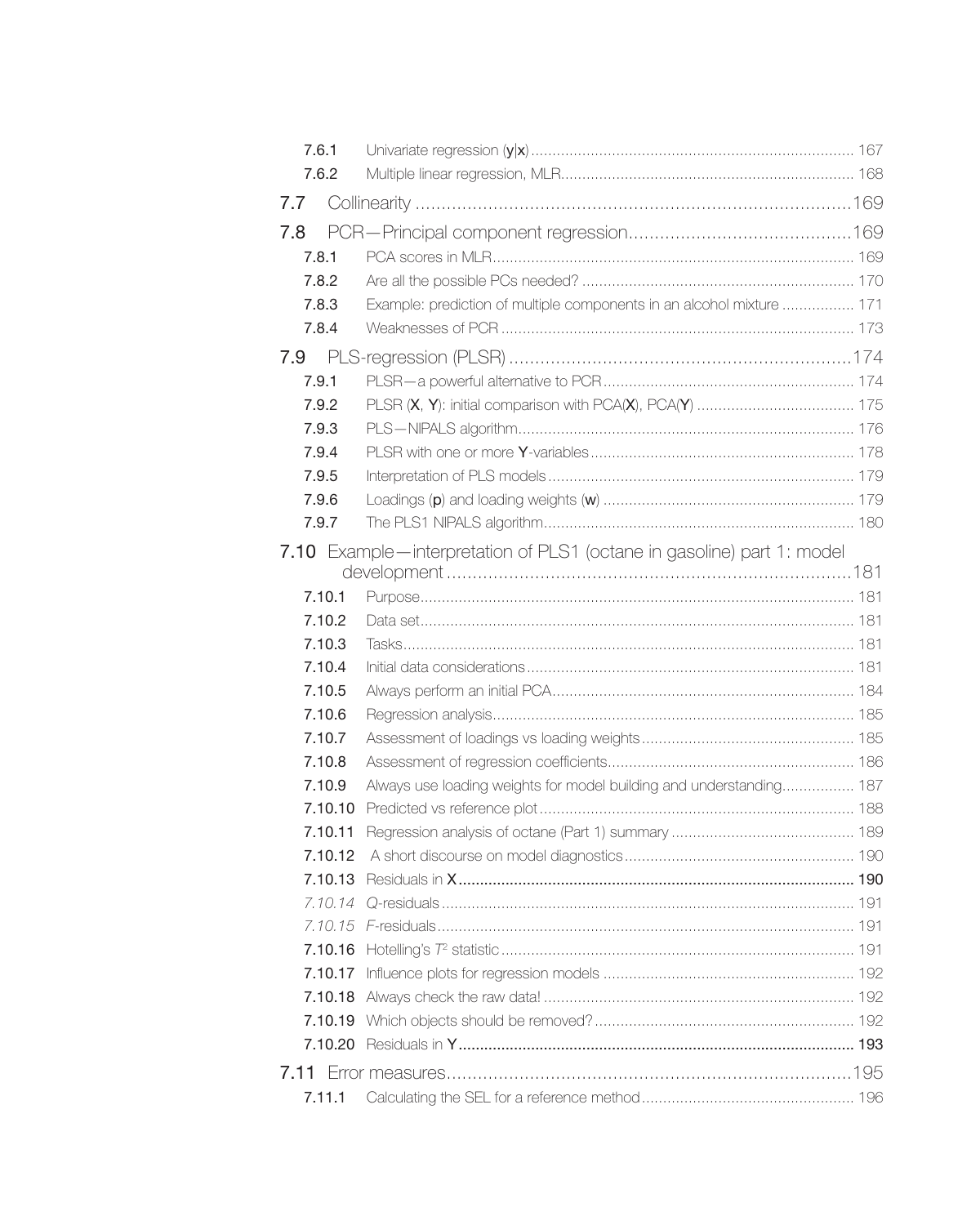<span id="page-5-0"></span>

| 7.6.1   |                                                                        |     |
|---------|------------------------------------------------------------------------|-----|
| 7.6.2   |                                                                        |     |
| 7.7     |                                                                        |     |
| 7.8     |                                                                        |     |
| 7.8.1   |                                                                        |     |
| 7.8.2   |                                                                        |     |
| 7.8.3   | Example: prediction of multiple components in an alcohol mixture  171  |     |
| 7.8.4   |                                                                        |     |
| 7.9     |                                                                        |     |
| 7.9.1   |                                                                        |     |
| 7.9.2   |                                                                        |     |
| 7.9.3   |                                                                        |     |
| 7.9.4   |                                                                        |     |
| 7.9.5   |                                                                        |     |
| 7.9.6   |                                                                        |     |
| 7.9.7   |                                                                        |     |
|         | 7.10 Example—interpretation of PLS1 (octane in gasoline) part 1: model |     |
|         |                                                                        |     |
| 7.10.1  |                                                                        |     |
| 7.10.2  |                                                                        |     |
| 7.10.3  |                                                                        |     |
| 7.10.4  |                                                                        |     |
| 7.10.5  |                                                                        |     |
| 7.10.6  |                                                                        |     |
| 7.10.7  |                                                                        |     |
| 7.10.8  |                                                                        |     |
| 7.10.9  | Always use loading weights for model building and understanding 187    |     |
| 7.10.10 |                                                                        |     |
| 7.10.11 |                                                                        |     |
| 7.10.12 |                                                                        |     |
| 7.10.13 |                                                                        |     |
|         | 7.10.14 O-residuals                                                    | 191 |
|         |                                                                        |     |
|         |                                                                        |     |
| 7.10.17 |                                                                        |     |
| 7.10.18 |                                                                        |     |
|         |                                                                        |     |
| 7.10.20 |                                                                        |     |
|         |                                                                        |     |
| 7.11.1  |                                                                        |     |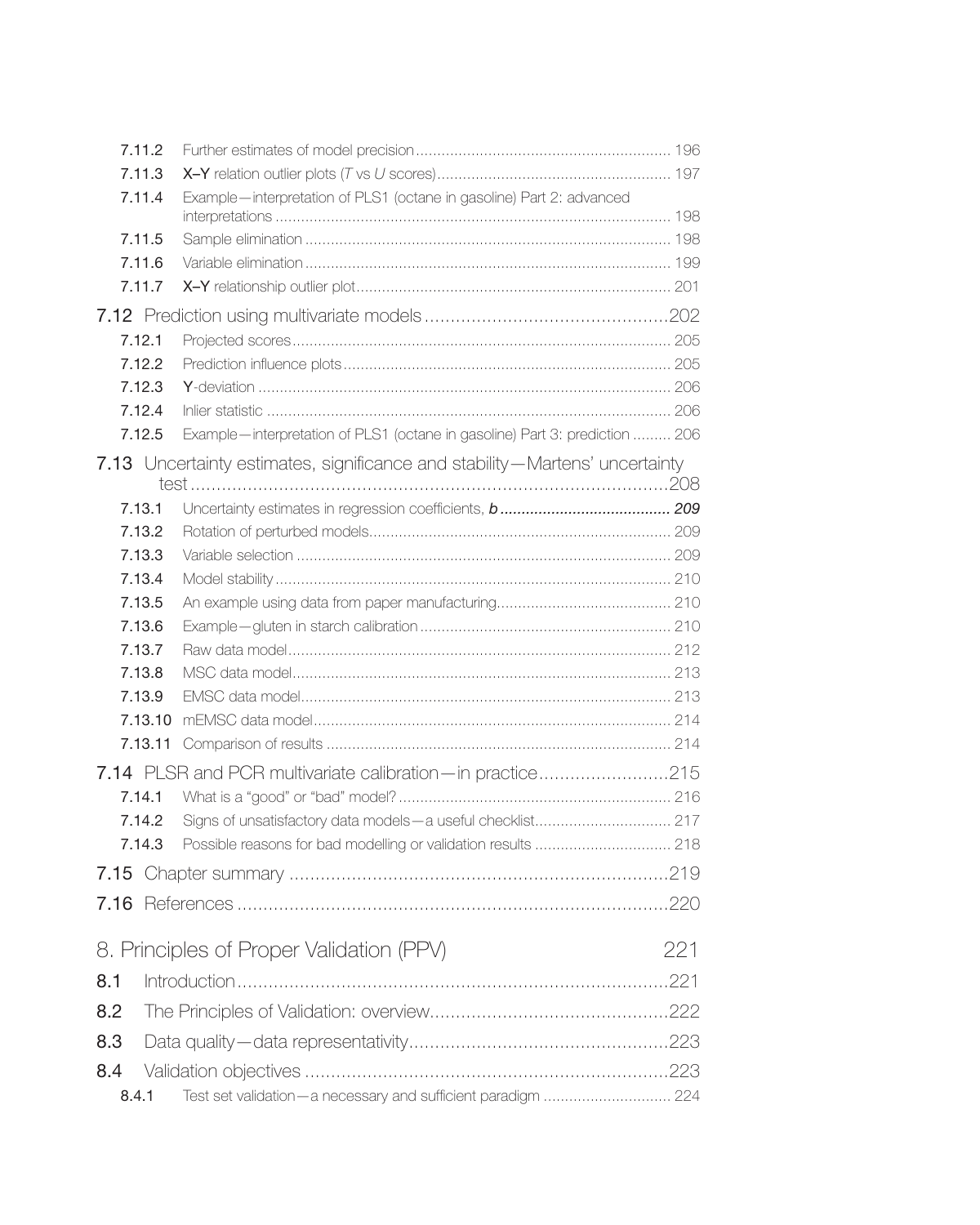<span id="page-6-0"></span>

| 7.11.2           |                                                                             |     |
|------------------|-----------------------------------------------------------------------------|-----|
| 7.11.3           |                                                                             |     |
| 7.11.4           | Example-interpretation of PLS1 (octane in gasoline) Part 2: advanced        |     |
| 7.11.5           |                                                                             |     |
| 7.11.6           |                                                                             |     |
| 7.11.7           |                                                                             |     |
|                  |                                                                             |     |
| 7.12.1           |                                                                             |     |
| 7.12.2           |                                                                             |     |
| 7.12.3           |                                                                             |     |
| 7.12.4           |                                                                             |     |
| 7.12.5           | Example—interpretation of PLS1 (octane in gasoline) Part 3: prediction  206 |     |
|                  | 7.13 Uncertainty estimates, significance and stability-Martens' uncertainty |     |
|                  |                                                                             |     |
| 7.13.1           |                                                                             |     |
| 7.13.2           |                                                                             |     |
| 7.13.3           |                                                                             |     |
| 7.13.4           |                                                                             |     |
| 7.13.5<br>7.13.6 |                                                                             |     |
| 7.13.7           |                                                                             |     |
| 7.13.8           |                                                                             |     |
| 7.13.9           |                                                                             |     |
| 7.13.10          |                                                                             |     |
|                  |                                                                             |     |
|                  |                                                                             |     |
| 7.14.1           |                                                                             |     |
| 7.14.2           |                                                                             |     |
| 7.14.3           | Possible reasons for bad modelling or validation results  218               |     |
|                  |                                                                             |     |
|                  |                                                                             |     |
|                  |                                                                             |     |
|                  | 8. Principles of Proper Validation (PPV)                                    | 221 |
| 8.1              |                                                                             |     |
| 8.2              |                                                                             |     |
| 8.3              |                                                                             |     |
| 8.4              |                                                                             |     |
| 8.4.1            | Test set validation-a necessary and sufficient paradigm  224                |     |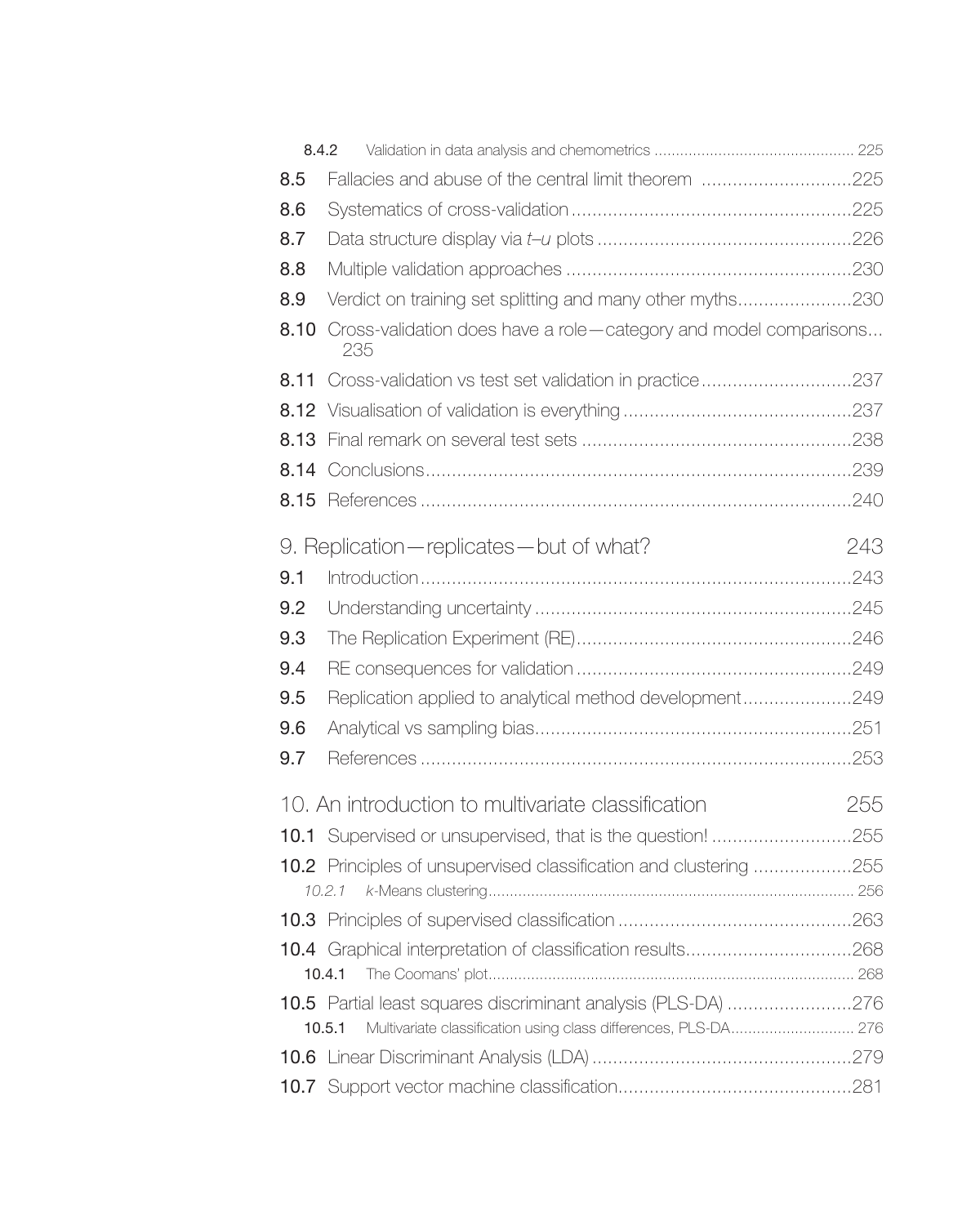<span id="page-7-0"></span>

| 8.4.2 |                                                                                                                                            |     |
|-------|--------------------------------------------------------------------------------------------------------------------------------------------|-----|
| 8.5   | Fallacies and abuse of the central limit theorem 225                                                                                       |     |
| 8.6   |                                                                                                                                            |     |
| 8.7   |                                                                                                                                            |     |
| 8.8   |                                                                                                                                            |     |
| 8.9   | Verdict on training set splitting and many other myths230                                                                                  |     |
|       | 8.10 Cross-validation does have a role-category and model comparisons<br>235                                                               |     |
| 8.11  | Cross-validation vs test set validation in practice237                                                                                     |     |
|       |                                                                                                                                            |     |
| 8.13  |                                                                                                                                            |     |
| 8.14  |                                                                                                                                            |     |
| 8.15  |                                                                                                                                            |     |
|       | 9. Replication - replicates - but of what?                                                                                                 | 243 |
| 9.1   |                                                                                                                                            |     |
| 9.2   |                                                                                                                                            |     |
| 9.3   |                                                                                                                                            |     |
| 9.4   |                                                                                                                                            |     |
| 9.5   | Replication applied to analytical method development249                                                                                    |     |
| 9.6   |                                                                                                                                            |     |
| 9.7   |                                                                                                                                            |     |
|       | 10. An introduction to multivariate classification                                                                                         | 255 |
|       | 10.1 Supervised or unsupervised, that is the question! 255                                                                                 |     |
|       | 10.2 Principles of unsupervised classification and clustering 255                                                                          |     |
|       |                                                                                                                                            |     |
|       |                                                                                                                                            |     |
|       | 10.4.1                                                                                                                                     |     |
|       | 10.5 Partial least squares discriminant analysis (PLS-DA) 276<br>Multivariate classification using class differences, PLS-DA 276<br>10.5.1 |     |
|       |                                                                                                                                            |     |
|       |                                                                                                                                            |     |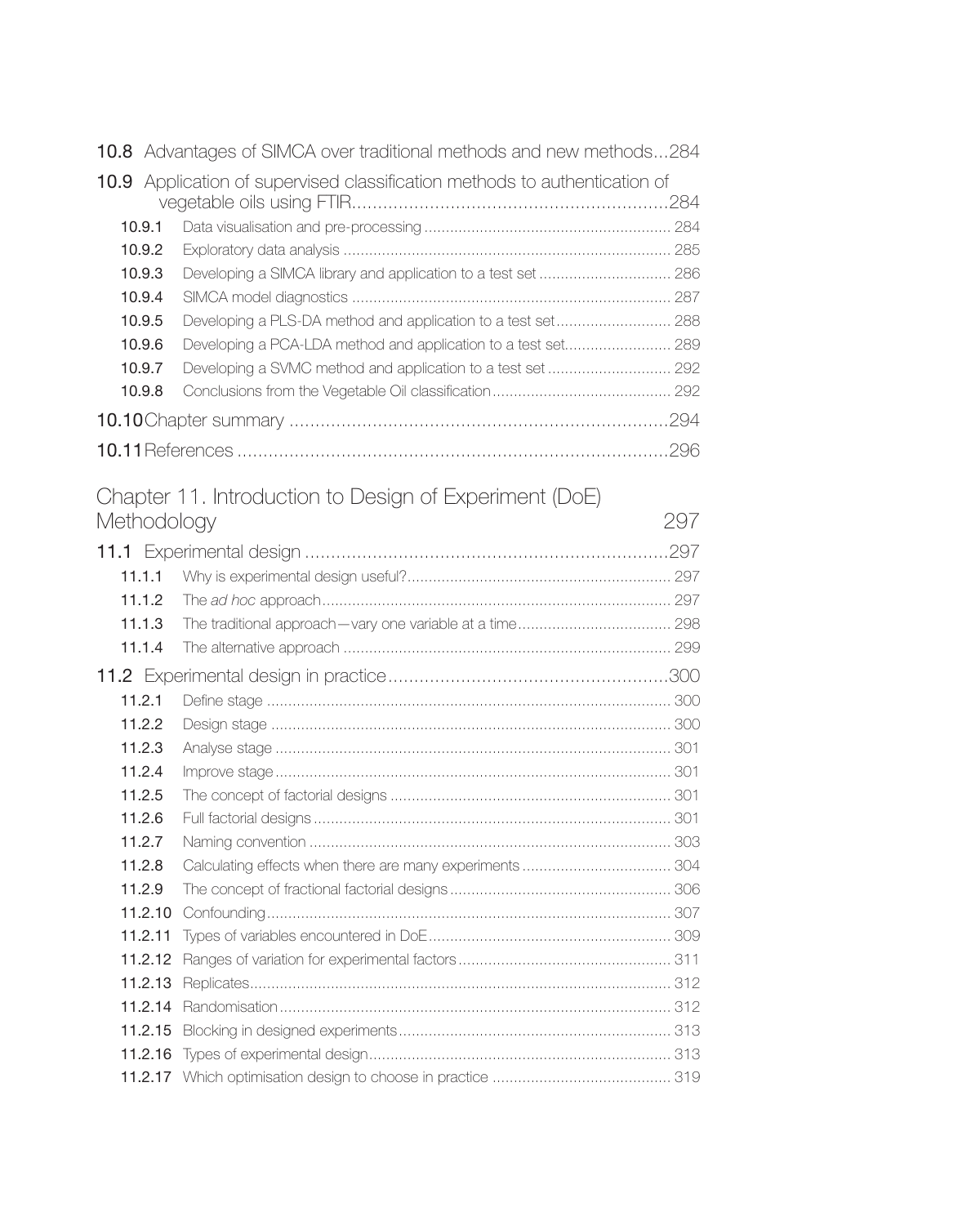<span id="page-8-0"></span>

|        | <b>10.8</b> Advantages of SIMCA over traditional methods and new methods284 |  |
|--------|-----------------------------------------------------------------------------|--|
|        | 10.9 Application of supervised classification methods to authentication of  |  |
| 10.9.1 |                                                                             |  |
| 10.9.2 |                                                                             |  |
| 10.9.3 |                                                                             |  |
| 10.9.4 |                                                                             |  |
| 10.9.5 | Developing a PLS-DA method and application to a test set 288                |  |
| 10.9.6 | Developing a PCA-LDA method and application to a test set 289               |  |
| 10.9.7 |                                                                             |  |
| 10.9.8 |                                                                             |  |
|        |                                                                             |  |
|        |                                                                             |  |

## [Chapter 11. Introduction to Design of Experiment \(DoE\)](#page-0-0)  [Methodology](#page-0-0) 297

| 11.1.1  |  |
|---------|--|
| 11.1.2  |  |
| 11.1.3  |  |
| 11.1.4  |  |
|         |  |
| 11.2.1  |  |
| 11.2.2  |  |
| 11.2.3  |  |
| 11.2.4  |  |
| 11.2.5  |  |
| 11.2.6  |  |
| 11.2.7  |  |
| 11.2.8  |  |
| 11.2.9  |  |
| 11.2.10 |  |
| 11.2.11 |  |
| 11.2.12 |  |
| 11.2.13 |  |
| 11.2.14 |  |
| 11.2.15 |  |
|         |  |
|         |  |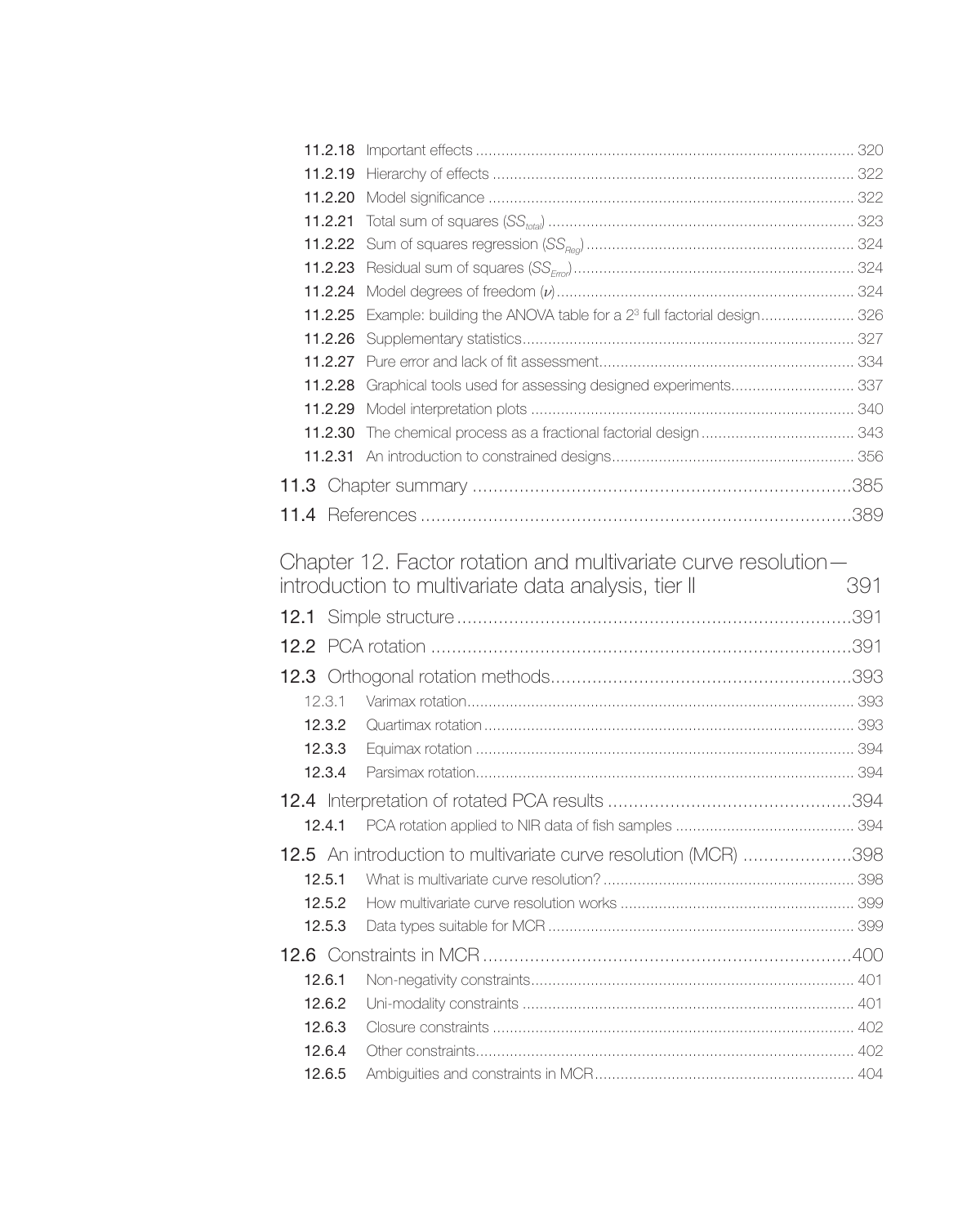<span id="page-9-0"></span>

| 11.2.20 |                                                                                          |     |
|---------|------------------------------------------------------------------------------------------|-----|
| 11.2.21 |                                                                                          |     |
|         |                                                                                          |     |
|         |                                                                                          |     |
|         |                                                                                          |     |
|         | 11.2.25 Example: building the ANOVA table for a 2 <sup>3</sup> full factorial design 326 |     |
|         |                                                                                          |     |
|         |                                                                                          |     |
|         | 11.2.28 Graphical tools used for assessing designed experiments 337                      |     |
|         |                                                                                          |     |
| 11.2.30 |                                                                                          |     |
|         |                                                                                          |     |
|         |                                                                                          |     |
|         |                                                                                          |     |
|         |                                                                                          |     |
|         | Chapter 12. Factor rotation and multivariate curve resolution—                           |     |
|         | introduction to multivariate data analysis, tier II                                      | 391 |
|         |                                                                                          |     |
|         |                                                                                          |     |
|         |                                                                                          |     |
|         |                                                                                          |     |
| 12.3.1  |                                                                                          |     |
| 12.3.2  |                                                                                          |     |
| 12.3.3  |                                                                                          |     |
| 12.3.4  |                                                                                          |     |
|         |                                                                                          |     |
| 12.4.1  |                                                                                          |     |
|         | 12.5 An introduction to multivariate curve resolution (MCR) 398                          |     |
| 12.5.1  |                                                                                          |     |
|         | <b>12.5.2</b> How multivariate curve resolution works                                    | 399 |
| 12.5.3  |                                                                                          |     |
|         |                                                                                          |     |
| 12.6.1  |                                                                                          |     |
| 12.6.2  |                                                                                          |     |
| 12.6.3  |                                                                                          |     |
| 12.6.4  |                                                                                          |     |
| 12.6.5  |                                                                                          |     |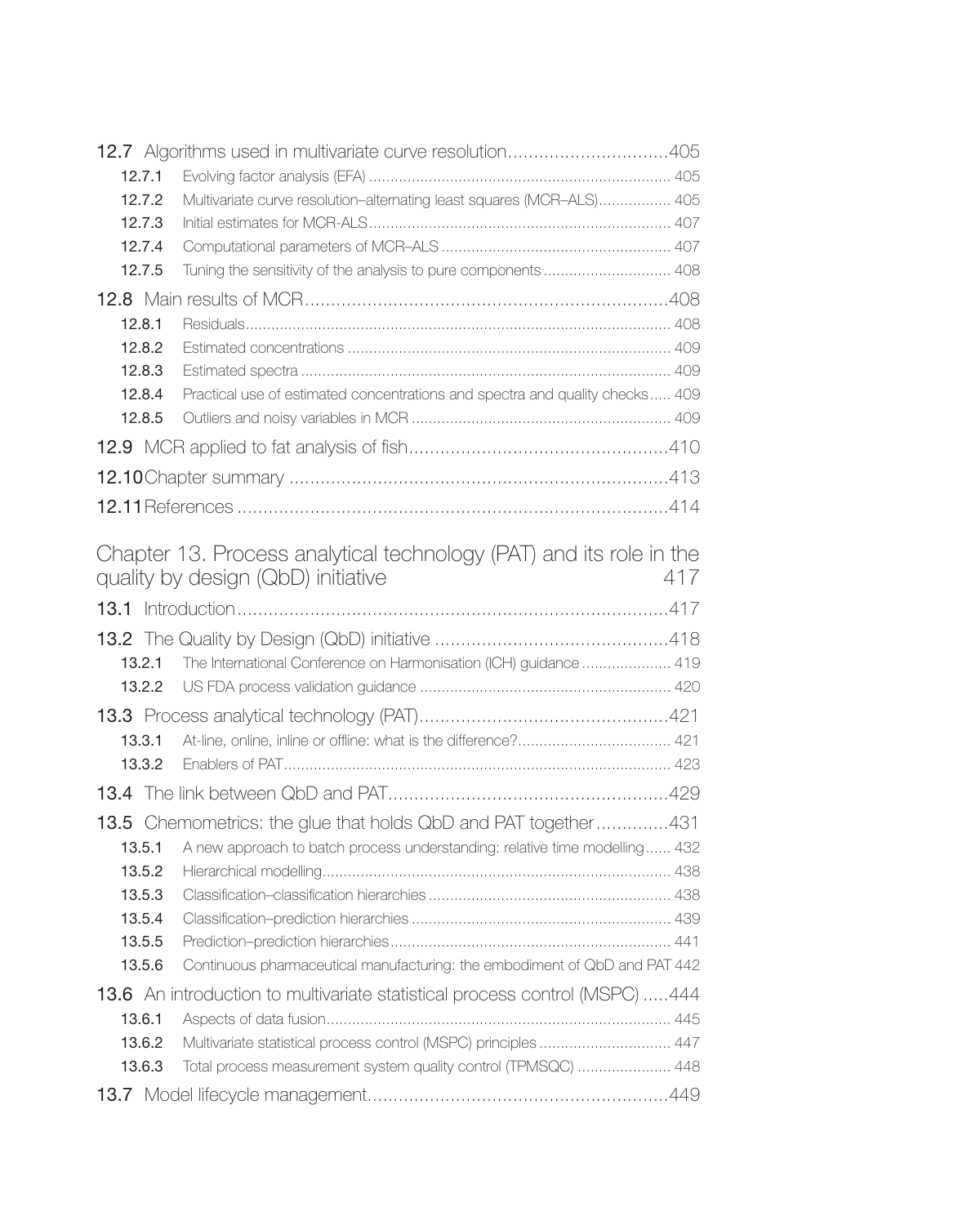<span id="page-10-0"></span>

|        | 12.7 Algorithms used in multivariate curve resolution405                                                  |     |
|--------|-----------------------------------------------------------------------------------------------------------|-----|
| 12.7.1 |                                                                                                           |     |
| 12.7.2 | Multivariate curve resolution-alternating least squares (MCR-ALS) 405                                     |     |
| 12.7.3 |                                                                                                           |     |
| 12.7.4 |                                                                                                           |     |
| 12.7.5 | Tuning the sensitivity of the analysis to pure components  408                                            |     |
|        |                                                                                                           |     |
| 12.8.1 |                                                                                                           |     |
| 12.8.2 |                                                                                                           |     |
| 12.8.3 |                                                                                                           |     |
| 12.8.4 | Practical use of estimated concentrations and spectra and quality checks 409                              |     |
| 12.8.5 |                                                                                                           |     |
|        |                                                                                                           |     |
|        |                                                                                                           |     |
|        |                                                                                                           |     |
|        | Chapter 13. Process analytical technology (PAT) and its role in the<br>quality by design (QbD) initiative | 417 |
|        |                                                                                                           |     |
|        |                                                                                                           |     |
| 13.2.1 | The International Conference on Harmonisation (ICH) guidance  419                                         |     |
| 13.2.2 |                                                                                                           |     |
|        |                                                                                                           |     |
| 13.3.1 |                                                                                                           |     |
| 13.3.2 |                                                                                                           |     |
|        |                                                                                                           |     |
|        |                                                                                                           |     |
|        |                                                                                                           |     |
|        | <b>13.5</b> Chemometrics: the glue that holds QbD and PAT together431                                     |     |
| 13.5.1 | A new approach to batch process understanding: relative time modelling 432                                |     |
| 13.5.2 |                                                                                                           |     |
| 13.5.3 |                                                                                                           |     |
| 13.5.4 |                                                                                                           |     |
| 13.5.5 |                                                                                                           |     |
| 13.5.6 | Continuous pharmaceutical manufacturing: the embodiment of QbD and PAT 442                                |     |
|        | <b>13.6</b> An introduction to multivariate statistical process control (MSPC) 444                        |     |
| 13.6.1 |                                                                                                           |     |
| 13.6.2 | Multivariate statistical process control (MSPC) principles  447                                           |     |
| 13.6.3 | Total process measurement system quality control (TPMSQC)  448                                            |     |